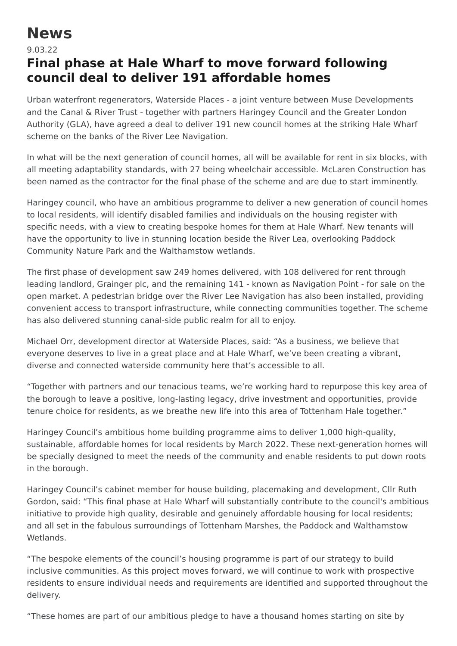## **News**

## 9.03.22

## **Final phase at Hale Wharf to move forward following council deal to deliver 191 affordable homes**

Urban waterfront regenerators, Waterside Places - a joint venture between Muse Developments and the Canal & River Trust - together with partners Haringey Council and the Greater London Authority (GLA), have agreed a deal to deliver 191 new council homes at the striking Hale Wharf scheme on the banks of the River Lee Navigation.

In what will be the next generation of council homes, all will be available for rent in six blocks, with all meeting adaptability standards, with 27 being wheelchair accessible. McLaren Construction has been named as the contractor for the final phase of the scheme and are due to start imminently.

Haringey council, who have an ambitious programme to deliver a new generation of council homes to local residents, will identify disabled families and individuals on the housing register with specific needs, with a view to creating bespoke homes for them at Hale Wharf. New tenants will have the opportunity to live in stunning location beside the River Lea, overlooking Paddock Community Nature Park and the Walthamstow wetlands.

The first phase of development saw 249 homes delivered, with 108 delivered for rent through leading landlord, Grainger plc, and the remaining 141 - known as Navigation Point - for sale on the open market. A pedestrian bridge over the River Lee Navigation has also been installed, providing convenient access to transport infrastructure, while connecting communities together. The scheme has also delivered stunning canal-side public realm for all to enjoy.

Michael Orr, development director at Waterside Places, said: "As a business, we believe that everyone deserves to live in a great place and at Hale Wharf, we've been creating a vibrant, diverse and connected waterside community here that's accessible to all.

"Together with partners and our tenacious teams, we're working hard to repurpose this key area of the borough to leave a positive, long-lasting legacy, drive investment and opportunities, provide tenure choice for residents, as we breathe new life into this area of Tottenham Hale together."

Haringey Council's ambitious home building programme aims to deliver 1,000 high-quality, sustainable, affordable homes for local residents by March 2022. These next-generation homes will be specially designed to meet the needs of the community and enable residents to put down roots in the borough.

Haringey Council's cabinet member for house building, placemaking and development, Cllr Ruth Gordon, said: "This final phase at Hale Wharf will substantially contribute to the council's ambitious initiative to provide high quality, desirable and genuinely affordable housing for local residents; and all set in the fabulous surroundings of Tottenham Marshes, the Paddock and Walthamstow Wetlands.

"The bespoke elements of the council's housing programme is part of our strategy to build inclusive communities. As this project moves forward, we will continue to work with prospective residents to ensure individual needs and requirements are identified and supported throughout the delivery.

"These homes are part of our ambitious pledge to have a thousand homes starting on site by